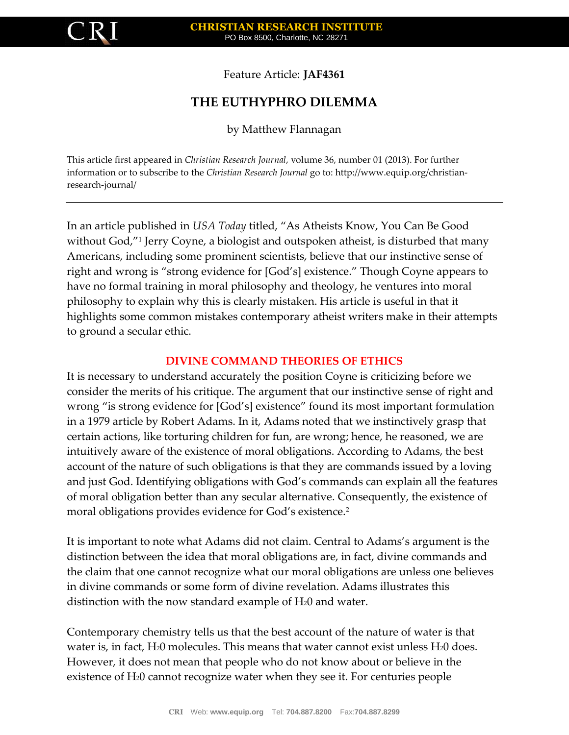

Feature Article: **JAF4361**

# **THE EUTHYPHRO DILEMMA**

by Matthew Flannagan

This article first appeared in *Christian Research Journal*, volume 36, number 01 (2013). For further information or to subscribe to the *Christian Research Journal* go to: http://www.equip.org/christianresearch-journal/

In an article published in *USA Today* titled, "As Atheists Know, You Can Be Good without God,"<sup>1</sup> Jerry Coyne, a biologist and outspoken atheist, is disturbed that many Americans, including some prominent scientists, believe that our instinctive sense of right and wrong is "strong evidence for [God's] existence." Though Coyne appears to have no formal training in moral philosophy and theology, he ventures into moral philosophy to explain why this is clearly mistaken. His article is useful in that it highlights some common mistakes contemporary atheist writers make in their attempts to ground a secular ethic.

#### **DIVINE COMMAND THEORIES OF ETHICS**

It is necessary to understand accurately the position Coyne is criticizing before we consider the merits of his critique. The argument that our instinctive sense of right and wrong "is strong evidence for [God's] existence" found its most important formulation in a 1979 article by Robert Adams. In it, Adams noted that we instinctively grasp that certain actions, like torturing children for fun, are wrong; hence, he reasoned, we are intuitively aware of the existence of moral obligations. According to Adams, the best account of the nature of such obligations is that they are commands issued by a loving and just God. Identifying obligations with God's commands can explain all the features of moral obligation better than any secular alternative. Consequently, the existence of moral obligations provides evidence for God's existence.<sup>2</sup>

It is important to note what Adams did not claim. Central to Adams's argument is the distinction between the idea that moral obligations are, in fact, divine commands and the claim that one cannot recognize what our moral obligations are unless one believes in divine commands or some form of divine revelation. Adams illustrates this distinction with the now standard example of H<sub>2</sub>0 and water.

Contemporary chemistry tells us that the best account of the nature of water is that water is, in fact, H<sub>2</sub>0 molecules. This means that water cannot exist unless H<sub>2</sub>0 does. However, it does not mean that people who do not know about or believe in the existence of H20 cannot recognize water when they see it. For centuries people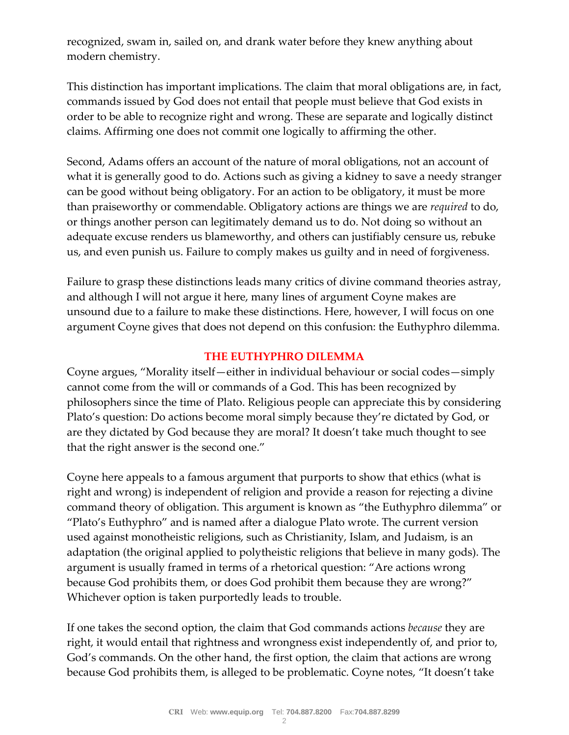recognized, swam in, sailed on, and drank water before they knew anything about modern chemistry.

This distinction has important implications. The claim that moral obligations are, in fact, commands issued by God does not entail that people must believe that God exists in order to be able to recognize right and wrong. These are separate and logically distinct claims. Affirming one does not commit one logically to affirming the other.

Second, Adams offers an account of the nature of moral obligations, not an account of what it is generally good to do. Actions such as giving a kidney to save a needy stranger can be good without being obligatory. For an action to be obligatory, it must be more than praiseworthy or commendable. Obligatory actions are things we are *required* to do, or things another person can legitimately demand us to do. Not doing so without an adequate excuse renders us blameworthy, and others can justifiably censure us, rebuke us, and even punish us. Failure to comply makes us guilty and in need of forgiveness.

Failure to grasp these distinctions leads many critics of divine command theories astray, and although I will not argue it here, many lines of argument Coyne makes are unsound due to a failure to make these distinctions. Here, however, I will focus on one argument Coyne gives that does not depend on this confusion: the Euthyphro dilemma.

# **THE EUTHYPHRO DILEMMA**

Coyne argues, "Morality itself—either in individual behaviour or social codes—simply cannot come from the will or commands of a God. This has been recognized by philosophers since the time of Plato. Religious people can appreciate this by considering Plato's question: Do actions become moral simply because they're dictated by God, or are they dictated by God because they are moral? It doesn't take much thought to see that the right answer is the second one."

Coyne here appeals to a famous argument that purports to show that ethics (what is right and wrong) is independent of religion and provide a reason for rejecting a divine command theory of obligation. This argument is known as "the Euthyphro dilemma" or "Plato's Euthyphro" and is named after a dialogue Plato wrote. The current version used against monotheistic religions, such as Christianity, Islam, and Judaism, is an adaptation (the original applied to polytheistic religions that believe in many gods). The argument is usually framed in terms of a rhetorical question: "Are actions wrong because God prohibits them, or does God prohibit them because they are wrong?" Whichever option is taken purportedly leads to trouble.

If one takes the second option, the claim that God commands actions *because* they are right, it would entail that rightness and wrongness exist independently of, and prior to, God's commands. On the other hand, the first option, the claim that actions are wrong because God prohibits them, is alleged to be problematic. Coyne notes, "It doesn't take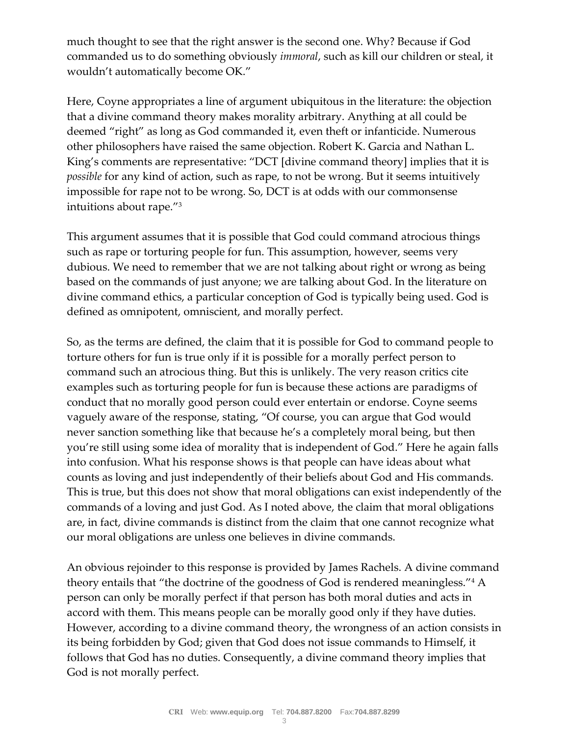much thought to see that the right answer is the second one. Why? Because if God commanded us to do something obviously *immoral*, such as kill our children or steal, it wouldn't automatically become OK."

Here, Coyne appropriates a line of argument ubiquitous in the literature: the objection that a divine command theory makes morality arbitrary. Anything at all could be deemed "right" as long as God commanded it, even theft or infanticide. Numerous other philosophers have raised the same objection. Robert K. Garcia and Nathan L. King's comments are representative: "DCT [divine command theory] implies that it is *possible* for any kind of action, such as rape, to not be wrong. But it seems intuitively impossible for rape not to be wrong. So, DCT is at odds with our commonsense intuitions about rape."<sup>3</sup>

This argument assumes that it is possible that God could command atrocious things such as rape or torturing people for fun. This assumption, however, seems very dubious. We need to remember that we are not talking about right or wrong as being based on the commands of just anyone; we are talking about God. In the literature on divine command ethics, a particular conception of God is typically being used. God is defined as omnipotent, omniscient, and morally perfect.

So, as the terms are defined, the claim that it is possible for God to command people to torture others for fun is true only if it is possible for a morally perfect person to command such an atrocious thing. But this is unlikely. The very reason critics cite examples such as torturing people for fun is because these actions are paradigms of conduct that no morally good person could ever entertain or endorse. Coyne seems vaguely aware of the response, stating, "Of course, you can argue that God would never sanction something like that because he's a completely moral being, but then you're still using some idea of morality that is independent of God." Here he again falls into confusion. What his response shows is that people can have ideas about what counts as loving and just independently of their beliefs about God and His commands. This is true, but this does not show that moral obligations can exist independently of the commands of a loving and just God. As I noted above, the claim that moral obligations are, in fact, divine commands is distinct from the claim that one cannot recognize what our moral obligations are unless one believes in divine commands.

An obvious rejoinder to this response is provided by James Rachels. A divine command theory entails that "the doctrine of the goodness of God is rendered meaningless."<sup>4</sup> A person can only be morally perfect if that person has both moral duties and acts in accord with them. This means people can be morally good only if they have duties. However, according to a divine command theory, the wrongness of an action consists in its being forbidden by God; given that God does not issue commands to Himself, it follows that God has no duties. Consequently, a divine command theory implies that God is not morally perfect.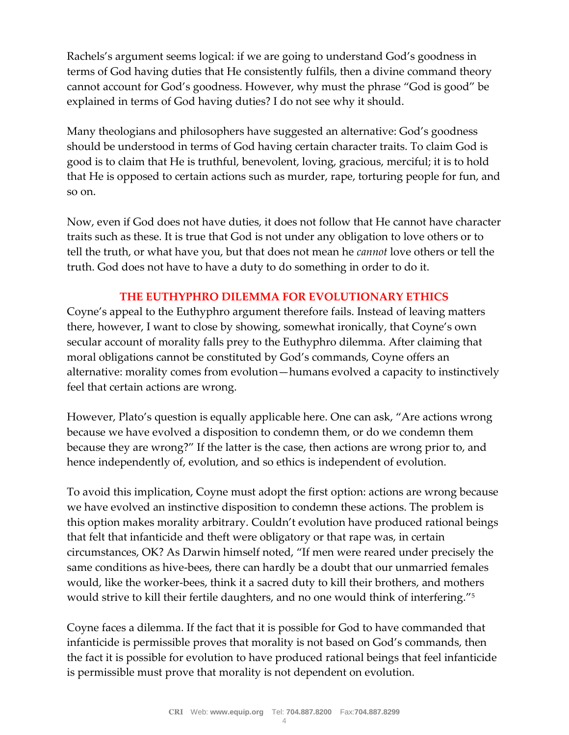Rachels's argument seems logical: if we are going to understand God's goodness in terms of God having duties that He consistently fulfils, then a divine command theory cannot account for God's goodness. However, why must the phrase "God is good" be explained in terms of God having duties? I do not see why it should.

Many theologians and philosophers have suggested an alternative: God's goodness should be understood in terms of God having certain character traits. To claim God is good is to claim that He is truthful, benevolent, loving, gracious, merciful; it is to hold that He is opposed to certain actions such as murder, rape, torturing people for fun, and so on.

Now, even if God does not have duties, it does not follow that He cannot have character traits such as these. It is true that God is not under any obligation to love others or to tell the truth, or what have you, but that does not mean he *cannot* love others or tell the truth. God does not have to have a duty to do something in order to do it.

# **THE EUTHYPHRO DILEMMA FOR EVOLUTIONARY ETHICS**

Coyne's appeal to the Euthyphro argument therefore fails. Instead of leaving matters there, however, I want to close by showing, somewhat ironically, that Coyne's own secular account of morality falls prey to the Euthyphro dilemma. After claiming that moral obligations cannot be constituted by God's commands, Coyne offers an alternative: morality comes from evolution—humans evolved a capacity to instinctively feel that certain actions are wrong.

However, Plato's question is equally applicable here. One can ask, "Are actions wrong because we have evolved a disposition to condemn them, or do we condemn them because they are wrong?" If the latter is the case, then actions are wrong prior to, and hence independently of, evolution, and so ethics is independent of evolution.

To avoid this implication, Coyne must adopt the first option: actions are wrong because we have evolved an instinctive disposition to condemn these actions. The problem is this option makes morality arbitrary. Couldn't evolution have produced rational beings that felt that infanticide and theft were obligatory or that rape was, in certain circumstances, OK? As Darwin himself noted, "If men were reared under precisely the same conditions as hive-bees, there can hardly be a doubt that our unmarried females would, like the worker-bees, think it a sacred duty to kill their brothers, and mothers would strive to kill their fertile daughters, and no one would think of interfering."<sup>5</sup>

Coyne faces a dilemma. If the fact that it is possible for God to have commanded that infanticide is permissible proves that morality is not based on God's commands, then the fact it is possible for evolution to have produced rational beings that feel infanticide is permissible must prove that morality is not dependent on evolution.